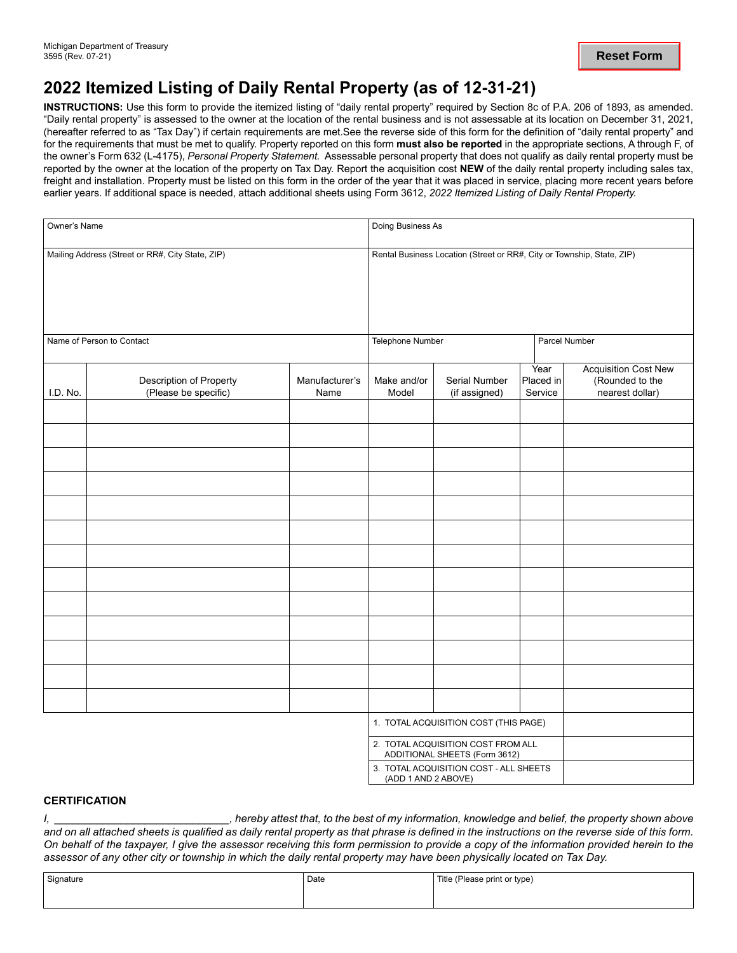## **2022 Itemized Listing of Daily Rental Property (as of 12-31-21)**

 the owner's Form 632 (L-4175), *Personal Property Statement.* Assessable personal property that does not qualify as daily rental property must be **INSTRUCTIONS:** Use this form to provide the itemized listing of "daily rental property" required by Section 8c of P.A. 206 of 1893, as amended. "Daily rental property" is assessed to the owner at the location of the rental business and is not assessable at its location on December 31, 2021, (hereafter referred to as "Tax Day") if certain requirements are met.See the reverse side of this form for the definition of "daily rental property" and for the requirements that must be met to qualify. Property reported on this form **must also be reported** in the appropriate sections, A through F, of reported by the owner at the location of the property on Tax Day. Report the acquisition cost **NEW** of the daily rental property including sales tax, freight and installation. Property must be listed on this form in the order of the year that it was placed in service, placing more recent years before earlier years. If additional space is needed, attach additional sheets using Form 3612, *2022 Itemized Listing of Daily Rental Property.* 

| Owner's Name<br>Mailing Address (Street or RR#, City State, ZIP)<br>Name of Person to Contact |  |  | Doing Business As<br>Rental Business Location (Street or RR#, City or Township, State, ZIP) |                                                                     |                        |                      |
|-----------------------------------------------------------------------------------------------|--|--|---------------------------------------------------------------------------------------------|---------------------------------------------------------------------|------------------------|----------------------|
|                                                                                               |  |  |                                                                                             |                                                                     |                        |                      |
|                                                                                               |  |  | I.D. No.                                                                                    | Description of Property<br>(Please be specific)                     | Manufacturer's<br>Name | Make and/or<br>Model |
|                                                                                               |  |  |                                                                                             |                                                                     |                        |                      |
|                                                                                               |  |  |                                                                                             |                                                                     |                        |                      |
|                                                                                               |  |  |                                                                                             |                                                                     |                        |                      |
|                                                                                               |  |  |                                                                                             |                                                                     |                        |                      |
|                                                                                               |  |  |                                                                                             |                                                                     |                        |                      |
|                                                                                               |  |  |                                                                                             |                                                                     |                        |                      |
|                                                                                               |  |  |                                                                                             |                                                                     |                        |                      |
|                                                                                               |  |  |                                                                                             |                                                                     |                        |                      |
|                                                                                               |  |  |                                                                                             |                                                                     |                        |                      |
|                                                                                               |  |  |                                                                                             |                                                                     |                        |                      |
|                                                                                               |  |  |                                                                                             |                                                                     |                        |                      |
|                                                                                               |  |  |                                                                                             | 1. TOTAL ACQUISITION COST (THIS PAGE)                               |                        |                      |
|                                                                                               |  |  |                                                                                             | 2. TOTAL ACQUISITION COST FROM ALL<br>ADDITIONAL SHEETS (Form 3612) |                        |                      |
|                                                                                               |  |  | (ADD 1 AND 2 ABOVE)                                                                         | 3. TOTAL ACQUISITION COST - ALL SHEETS                              |                        |                      |

## **CERTIFICATION**

*I, \_\_\_\_\_\_\_\_\_\_\_\_\_\_\_\_\_\_\_\_\_\_\_\_\_\_\_\_\_, hereby attest that, to the best of my information, knowledge and belief, the property shown above and on all attached sheets is qualified as daily rental property as that phrase is defined in the instructions on the reverse side of this form. On behalf of the taxpayer, I give the assessor receiving this form permission to provide a copy of the information provided herein to the assessor of any other city or township in which the daily rental property may have been physically located on Tax Day.* 

| Signature | Date | Title (Please print or type) |
|-----------|------|------------------------------|
|           |      |                              |